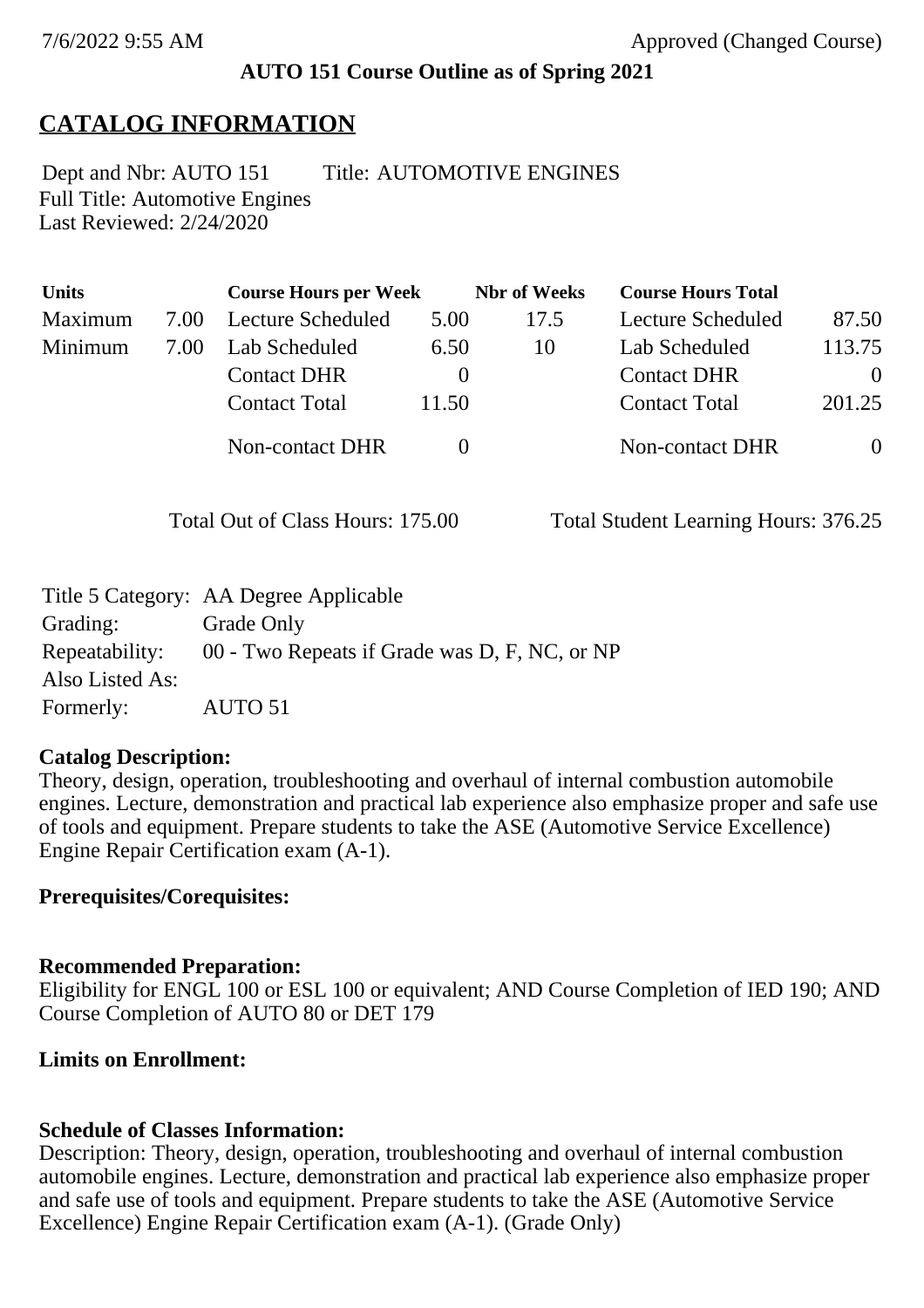### **AUTO 151 Course Outline as of Spring 2021**

# **CATALOG INFORMATION**

Full Title: Automotive Engines Last Reviewed: 2/24/2020 Dept and Nbr: AUTO 151 Title: AUTOMOTIVE ENGINES

| <b>Units</b> |      | <b>Course Hours per Week</b> |          | <b>Nbr</b> of Weeks | <b>Course Hours Total</b> |                |
|--------------|------|------------------------------|----------|---------------------|---------------------------|----------------|
| Maximum      | 7.00 | Lecture Scheduled            | 5.00     | 17.5                | Lecture Scheduled         | 87.50          |
| Minimum      | 7.00 | Lab Scheduled                | 6.50     | 10                  | Lab Scheduled             | 113.75         |
|              |      | <b>Contact DHR</b>           | $\theta$ |                     | <b>Contact DHR</b>        | $\Omega$       |
|              |      | <b>Contact Total</b>         | 11.50    |                     | <b>Contact Total</b>      | 201.25         |
|              |      | Non-contact DHR              |          |                     | Non-contact DHR           | $\overline{0}$ |

Total Out of Class Hours: 175.00 Total Student Learning Hours: 376.25

|                 | Title 5 Category: AA Degree Applicable        |
|-----------------|-----------------------------------------------|
| Grading:        | Grade Only                                    |
| Repeatability:  | 00 - Two Repeats if Grade was D, F, NC, or NP |
| Also Listed As: |                                               |
| Formerly:       | AUTO 51                                       |

### **Catalog Description:**

Theory, design, operation, troubleshooting and overhaul of internal combustion automobile engines. Lecture, demonstration and practical lab experience also emphasize proper and safe use of tools and equipment. Prepare students to take the ASE (Automotive Service Excellence) Engine Repair Certification exam (A-1).

### **Prerequisites/Corequisites:**

### **Recommended Preparation:**

Eligibility for ENGL 100 or ESL 100 or equivalent; AND Course Completion of IED 190; AND Course Completion of AUTO 80 or DET 179

### **Limits on Enrollment:**

### **Schedule of Classes Information:**

Description: Theory, design, operation, troubleshooting and overhaul of internal combustion automobile engines. Lecture, demonstration and practical lab experience also emphasize proper and safe use of tools and equipment. Prepare students to take the ASE (Automotive Service Excellence) Engine Repair Certification exam (A-1). (Grade Only)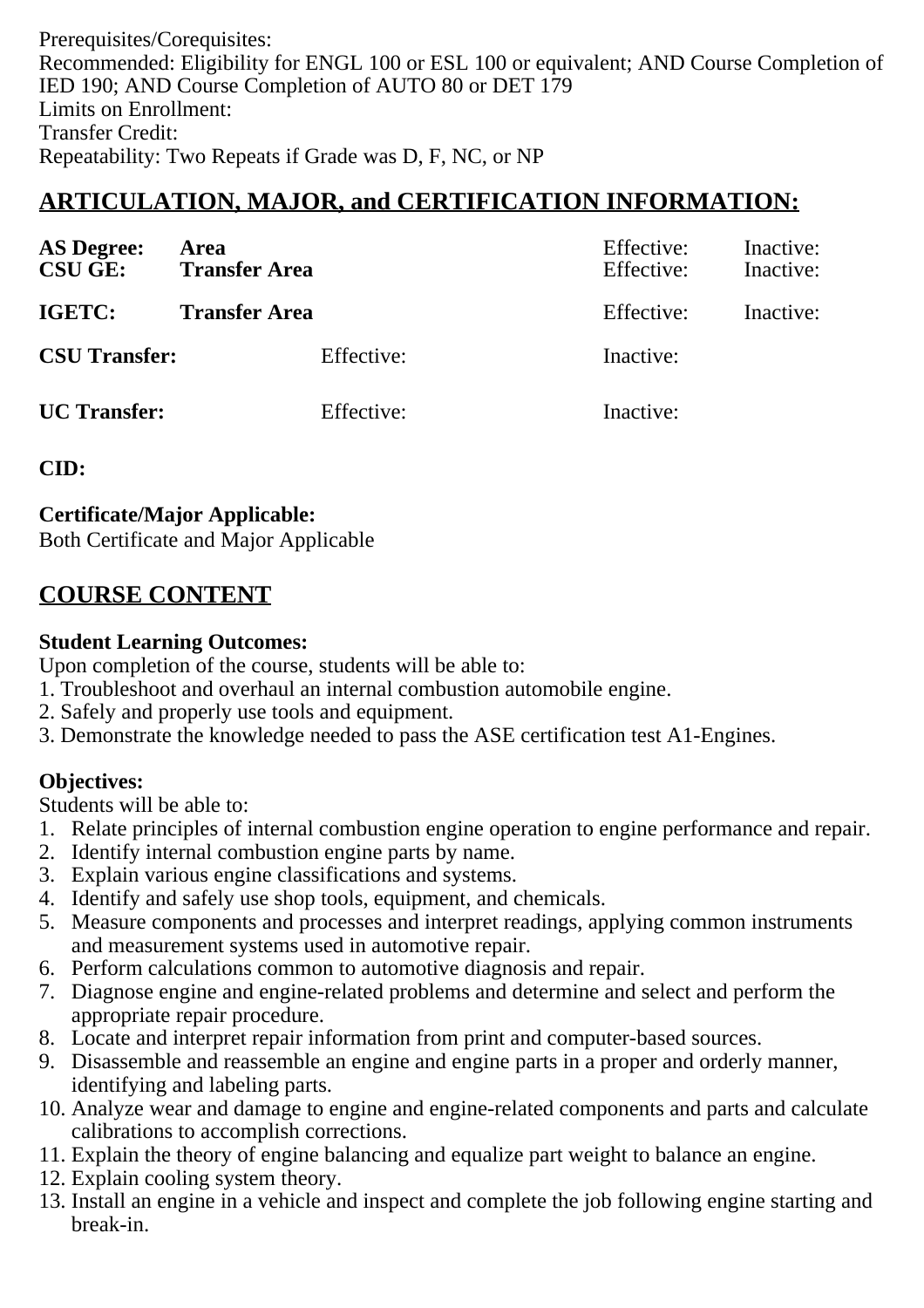Prerequisites/Corequisites: Recommended: Eligibility for ENGL 100 or ESL 100 or equivalent; AND Course Completion of IED 190; AND Course Completion of AUTO 80 or DET 179 Limits on Enrollment: Transfer Credit: Repeatability: Two Repeats if Grade was D, F, NC, or NP

# **ARTICULATION, MAJOR, and CERTIFICATION INFORMATION:**

| <b>AS Degree:</b><br><b>CSU GE:</b> | Area<br><b>Transfer Area</b> |            | Effective:<br>Effective: | Inactive:<br>Inactive: |
|-------------------------------------|------------------------------|------------|--------------------------|------------------------|
| IGETC:                              | <b>Transfer Area</b>         |            | Effective:               | Inactive:              |
| <b>CSU Transfer:</b>                |                              | Effective: | Inactive:                |                        |
| <b>UC</b> Transfer:                 |                              | Effective: | Inactive:                |                        |

### **CID:**

**Certificate/Major Applicable:** 

[Both Certificate and Major Applicable](SR_ClassCheck.aspx?CourseKey=AUTO151)

# **COURSE CONTENT**

### **Student Learning Outcomes:**

Upon completion of the course, students will be able to:

- 1. Troubleshoot and overhaul an internal combustion automobile engine.
- 2. Safely and properly use tools and equipment.
- 3. Demonstrate the knowledge needed to pass the ASE certification test A1-Engines.

### **Objectives:**

Students will be able to:

- 1. Relate principles of internal combustion engine operation to engine performance and repair.
- 2. Identify internal combustion engine parts by name.
- 3. Explain various engine classifications and systems.
- 4. Identify and safely use shop tools, equipment, and chemicals.
- 5. Measure components and processes and interpret readings, applying common instruments and measurement systems used in automotive repair.
- 6. Perform calculations common to automotive diagnosis and repair.
- 7. Diagnose engine and engine-related problems and determine and select and perform the appropriate repair procedure.
- 8. Locate and interpret repair information from print and computer-based sources.
- 9. Disassemble and reassemble an engine and engine parts in a proper and orderly manner, identifying and labeling parts.
- 10. Analyze wear and damage to engine and engine-related components and parts and calculate calibrations to accomplish corrections.
- 11. Explain the theory of engine balancing and equalize part weight to balance an engine.
- 12. Explain cooling system theory.
- 13. Install an engine in a vehicle and inspect and complete the job following engine starting and break-in.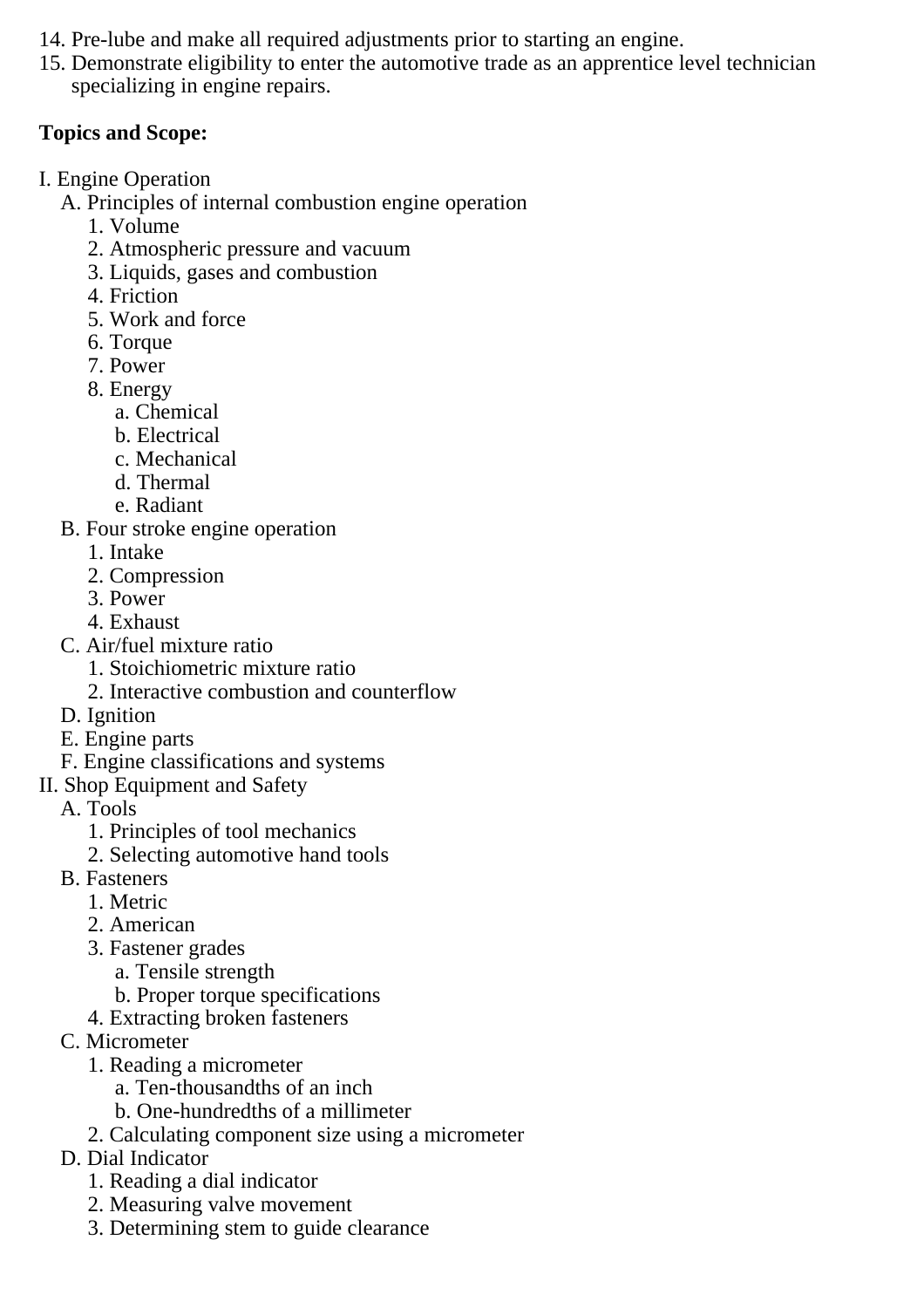- 14. Pre-lube and make all required adjustments prior to starting an engine.
- 15. Demonstrate eligibility to enter the automotive trade as an apprentice level technician specializing in engine repairs.

### **Topics and Scope:**

I. Engine Operation

A. Principles of internal combustion engine operation

- 1. Volume
- 2. Atmospheric pressure and vacuum
- 3. Liquids, gases and combustion
- 4. Friction
- 5. Work and force
- 6. Torque
- 7. Power
- 8. Energy
	- a. Chemical
	- b. Electrical
	- c. Mechanical
	- d. Thermal
	- e. Radiant
- B. Four stroke engine operation
	- 1. Intake
	- 2. Compression
	- 3. Power
	- 4. Exhaust
- C. Air/fuel mixture ratio
	- 1. Stoichiometric mixture ratio
	- 2. Interactive combustion and counterflow
- D. Ignition
- E. Engine parts
- F. Engine classifications and systems
- II. Shop Equipment and Safety
	- A. Tools
		- 1. Principles of tool mechanics
		- 2. Selecting automotive hand tools
	- B. Fasteners
		- 1. Metric
		- 2. American
		- 3. Fastener grades
			- a. Tensile strength
			- b. Proper torque specifications
		- 4. Extracting broken fasteners
	- C. Micrometer
		- 1. Reading a micrometer
			- a. Ten-thousandths of an inch
			- b. One-hundredths of a millimeter
		- 2. Calculating component size using a micrometer
	- D. Dial Indicator
		- 1. Reading a dial indicator
		- 2. Measuring valve movement
		- 3. Determining stem to guide clearance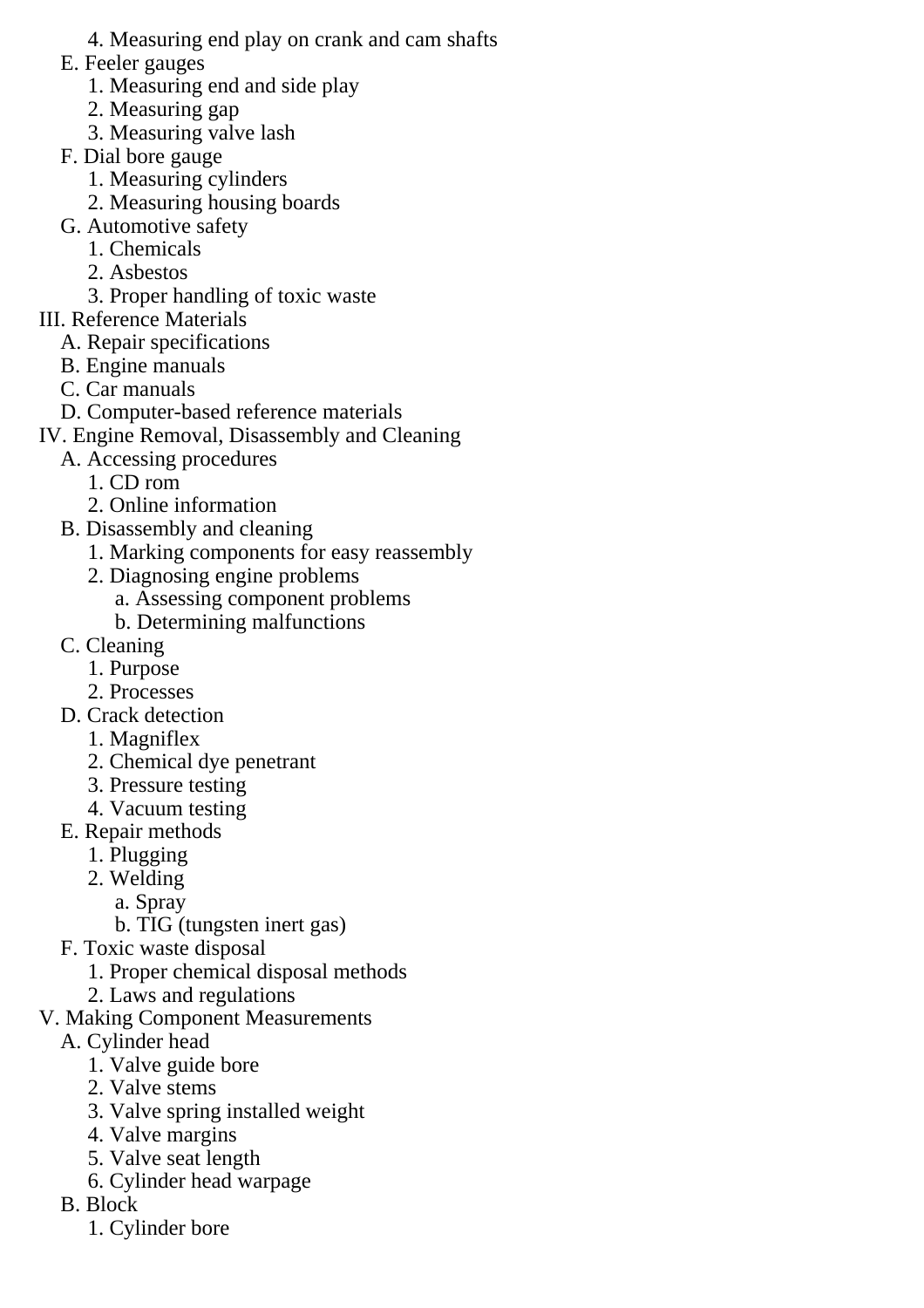- 4. Measuring end play on crank and cam shafts
- E. Feeler gauges
	- 1. Measuring end and side play
	- 2. Measuring gap
	- 3. Measuring valve lash
- F. Dial bore gauge
	- 1. Measuring cylinders
	- 2. Measuring housing boards
- G. Automotive safety
	- 1. Chemicals
	- 2. Asbestos
	- 3. Proper handling of toxic waste
- III. Reference Materials
	- A. Repair specifications
	- B. Engine manuals
	- C. Car manuals
	- D. Computer-based reference materials
- IV. Engine Removal, Disassembly and Cleaning
	- A. Accessing procedures
		- 1. CD rom
		- 2. Online information
	- B. Disassembly and cleaning
		- 1. Marking components for easy reassembly
		- 2. Diagnosing engine problems
			- a. Assessing component problems
			- b. Determining malfunctions
	- C. Cleaning
		- 1. Purpose
		- 2. Processes
	- D. Crack detection
		- 1. Magniflex
		- 2. Chemical dye penetrant
		- 3. Pressure testing
		- 4. Vacuum testing
	- E. Repair methods
		- 1. Plugging
		- 2. Welding
			- a. Spray
			- b. TIG (tungsten inert gas)
	- F. Toxic waste disposal
		- 1. Proper chemical disposal methods
		- 2. Laws and regulations
- V. Making Component Measurements
	- A. Cylinder head
		- 1. Valve guide bore
		- 2. Valve stems
		- 3. Valve spring installed weight
		- 4. Valve margins
		- 5. Valve seat length
		- 6. Cylinder head warpage
	- B. Block
		- 1. Cylinder bore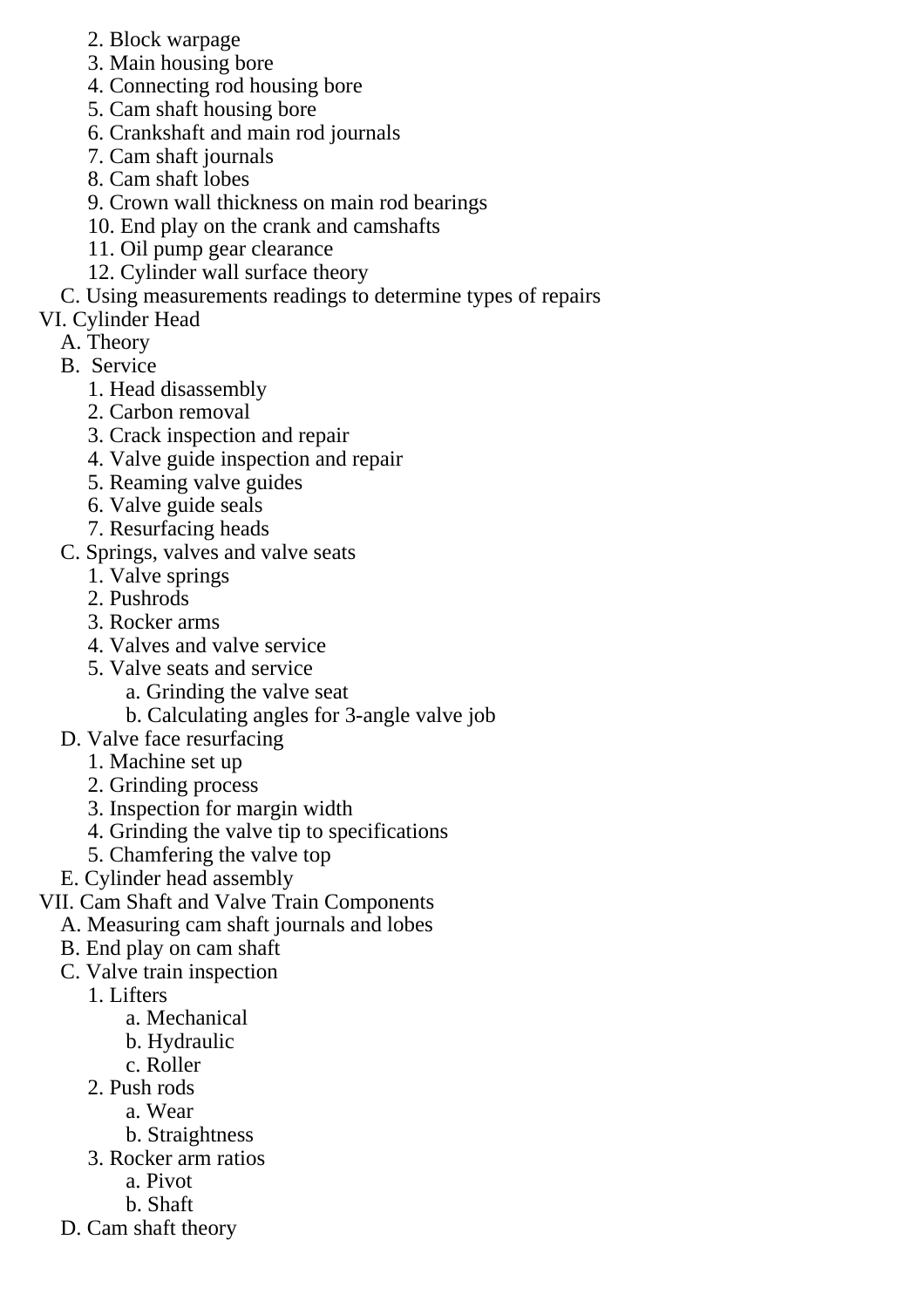- 2. Block warpage
- 3. Main housing bore
- 4. Connecting rod housing bore
- 5. Cam shaft housing bore
- 6. Crankshaft and main rod journals
- 7. Cam shaft journals
- 8. Cam shaft lobes
- 9. Crown wall thickness on main rod bearings
- 10. End play on the crank and camshafts
- 11. Oil pump gear clearance
- 12. Cylinder wall surface theory
- C. Using measurements readings to determine types of repairs
- VI. Cylinder Head
	- A. Theory
	- B. Service
		- 1. Head disassembly
		- 2. Carbon removal
		- 3. Crack inspection and repair
		- 4. Valve guide inspection and repair
		- 5. Reaming valve guides
		- 6. Valve guide seals
		- 7. Resurfacing heads
	- C. Springs, valves and valve seats
		- 1. Valve springs
		- 2. Pushrods
		- 3. Rocker arms
		- 4. Valves and valve service
		- 5. Valve seats and service
			- a. Grinding the valve seat
			- b. Calculating angles for 3-angle valve job
	- D. Valve face resurfacing
		- 1. Machine set up
		- 2. Grinding process
		- 3. Inspection for margin width
		- 4. Grinding the valve tip to specifications
		- 5. Chamfering the valve top
	- E. Cylinder head assembly
- VII. Cam Shaft and Valve Train Components
	- A. Measuring cam shaft journals and lobes
	- B. End play on cam shaft
	- C. Valve train inspection
		- 1. Lifters
			- a. Mechanical
			- b. Hydraulic
			- c. Roller
		- 2. Push rods
			- a. Wear
				- b. Straightness
		- 3. Rocker arm ratios
			- a. Pivot
			- b. Shaft
	- D. Cam shaft theory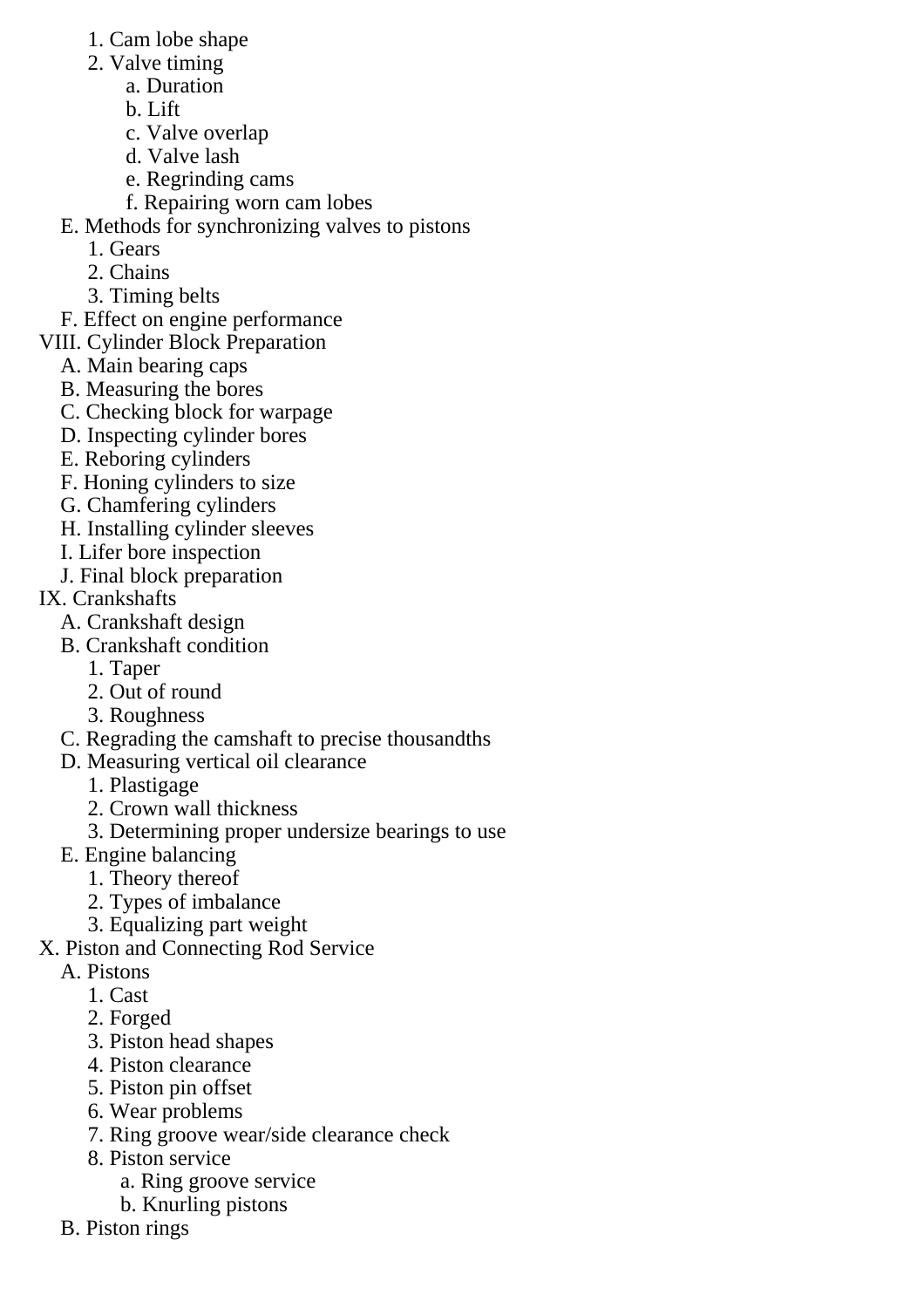- 1. Cam lobe shape
- 2. Valve timing
	- a. Duration
	- b. Lift
	- c. Valve overlap
	- d. Valve lash
	- e. Regrinding cams
	- f. Repairing worn cam lobes
- E. Methods for synchronizing valves to pistons
	- 1. Gears
	- 2. Chains
	- 3. Timing belts
- F. Effect on engine performance
- VIII. Cylinder Block Preparation
	- A. Main bearing caps
	- B. Measuring the bores
	- C. Checking block for warpage
	- D. Inspecting cylinder bores
	- E. Reboring cylinders
	- F. Honing cylinders to size
	- G. Chamfering cylinders
	- H. Installing cylinder sleeves
	- I. Lifer bore inspection
	- J. Final block preparation
- IX. Crankshafts
	- A. Crankshaft design
	- B. Crankshaft condition
		- 1. Taper
		- 2. Out of round
		- 3. Roughness
	- C. Regrading the camshaft to precise thousandths
	- D. Measuring vertical oil clearance
		- 1. Plastigage
		- 2. Crown wall thickness
		- 3. Determining proper undersize bearings to use
	- E. Engine balancing
		- 1. Theory thereof
		- 2. Types of imbalance
		- 3. Equalizing part weight
- X. Piston and Connecting Rod Service
	- A. Pistons
		- 1. Cast
		- 2. Forged
		- 3. Piston head shapes
		- 4. Piston clearance
		- 5. Piston pin offset
		- 6. Wear problems
		- 7. Ring groove wear/side clearance check
		- 8. Piston service
			- a. Ring groove service
			- b. Knurling pistons
	- B. Piston rings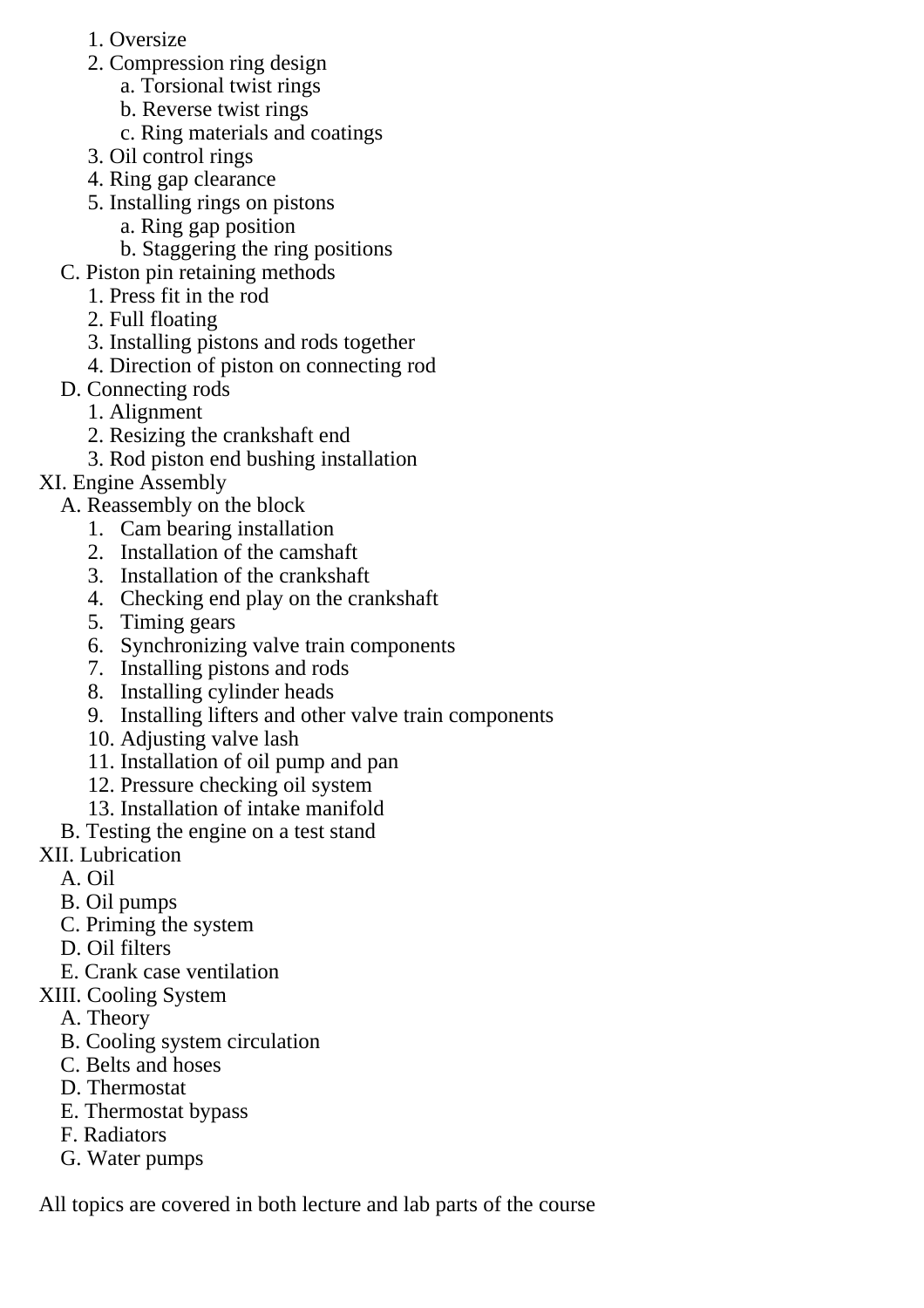- 1. Oversize
- 2. Compression ring design
	- a. Torsional twist rings
	- b. Reverse twist rings
	- c. Ring materials and coatings
- 3. Oil control rings
- 4. Ring gap clearance
- 5. Installing rings on pistons
	- a. Ring gap position
	- b. Staggering the ring positions
- C. Piston pin retaining methods
	- 1. Press fit in the rod
	- 2. Full floating
	- 3. Installing pistons and rods together
	- 4. Direction of piston on connecting rod
- D. Connecting rods
	- 1. Alignment
	- 2. Resizing the crankshaft end
	- 3. Rod piston end bushing installation

## XI. Engine Assembly

- A. Reassembly on the block
	- 1. Cam bearing installation
	- 2. Installation of the camshaft
	- 3. Installation of the crankshaft
	- 4. Checking end play on the crankshaft
	- 5. Timing gears
	- 6. Synchronizing valve train components
	- 7. Installing pistons and rods
	- 8. Installing cylinder heads
	- 9. Installing lifters and other valve train components
	- 10. Adjusting valve lash
	- 11. Installation of oil pump and pan
	- 12. Pressure checking oil system
	- 13. Installation of intake manifold
- B. Testing the engine on a test stand
- XII. Lubrication
	- A. Oil
	- B. Oil pumps
	- C. Priming the system
	- D. Oil filters
	- E. Crank case ventilation
- XIII. Cooling System
	- A. Theory
	- B. Cooling system circulation
	- C. Belts and hoses
	- D. Thermostat
	- E. Thermostat bypass
	- F. Radiators
	- G. Water pumps

All topics are covered in both lecture and lab parts of the course